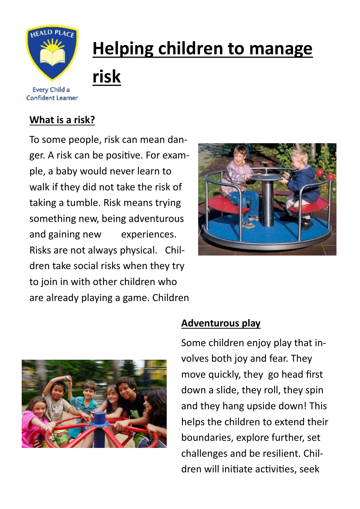

**Confident Learner** 

## **Helping children to manage risk**

## **What is a risk?**

To some people, risk can mean danger. A risk can be positive. For example, a baby would never learn to walk if they did not take the risk of taking a tumble. Risk means trying something new, being adventurous and gaining new experiences. Risks are not always physical. Children take social risks when they try to join in with other children who are already playing a game. Children





## **Adventurous play**

Some children enjoy play that involves both joy and fear. They move quickly, they go head first down a slide, they roll, they spin and they hang upside down! This helps the children to extend their boundaries, explore further, set challenges and be resilient. Children will initiate activities, seek